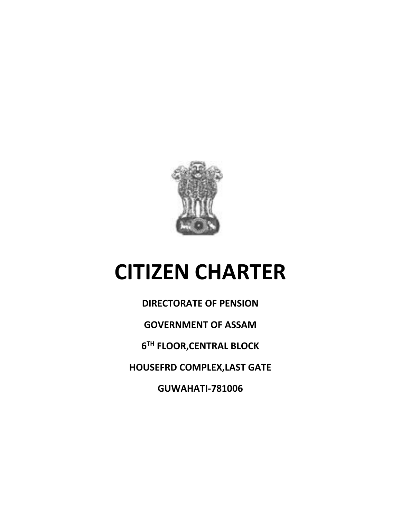

# **CITIZEN CHARTER**

**DIRECTORATE OF PENSION GOVERNMENT OF ASSAM 6 TH FLOOR,CENTRAL BLOCK HOUSEFRD COMPLEX,LAST GATE GUWAHATI-781006**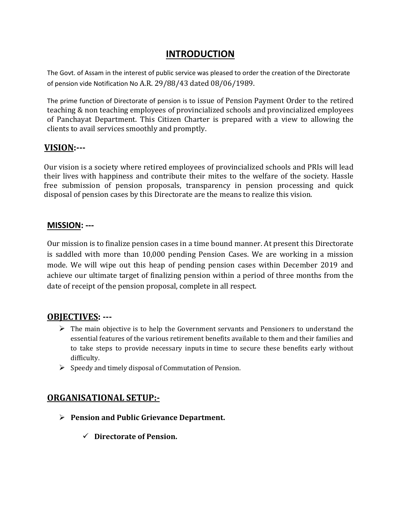## **INTRODUCTION**

The Govt. of Assam in the interest of public service was pleased to order the creation of the Directorate of pension vide Notification No A.R. 29/88/43 dated 08/06/1989.

The prime function of Directorate of pension is to issue of Pension Payment Order to the retired teaching & non teaching employees of provincialized schools and provincialized employees of Panchayat Department. This Citizen Charter is prepared with a view to allowing the clients to avail services smoothly and promptly.

#### **VISION:---**

Our vision is a society where retired employees of provincialized schools and PRIs will lead their lives with happiness and contribute their mites to the welfare of the society. Hassle free submission of pension proposals, transparency in pension processing and quick disposal of pension cases by this Directorate are the means to realize this vision.

#### **MISSION: ---**

Our mission is to finalize pension cases in a time bound manner. At present this Directorate is saddled with more than 10,000 pending Pension Cases. We are working in a mission mode. We will wipe out this heap of pending pension cases within December 2019 and achieve our ultimate target of finalizing pension within a period of three months from the date of receipt of the pension proposal, complete in all respect.

## **OBJECTIVES: ---**

- $\triangleright$  The main objective is to help the Government servants and Pensioners to understand the essential features of the various retirement benefits available to them and their families and to take steps to provide necessary inputs in time to secure these benefits early without difficulty.
- $\triangleright$  Speedy and timely disposal of Commutation of Pension.

## **ORGANISATIONAL SETUP:-**

- **Pension and Public Grievance Department.**
	- **Directorate of Pension.**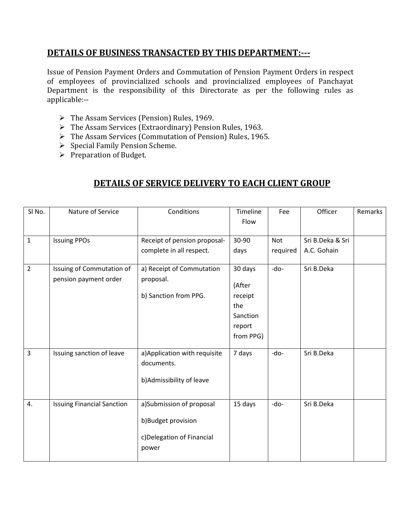#### **DETAILS OF BUSINESS TRANSACTED BY THIS DEPARTMENT:---**

Issue of Pension Payment Orders and Commutation of Pension Payment Orders in respect of employees of provincialized schools and provincialized employees of Panchayat Department is the responsibility of this Directorate as per the following rules as applicable:--

- $\triangleright$  The Assam Services (Pension) Rules, 1969.
- The Assam Services (Extraordinary) Pension Rules, 1963.
- > The Assam Services (Commutation of Pension) Rules, 1965.
- $\triangleright$  Special Family Pension Scheme.
- $\triangleright$  Preparation of Budget.

## **DETAILS OF SERVICE DELIVERY TO EACH CLIENT GROUP**

| SI <sub>No.</sub> | Nature of Service                                  | Conditions                                                                            | Timeline<br>Flow                                                       | Fee      | Officer          | Remarks |
|-------------------|----------------------------------------------------|---------------------------------------------------------------------------------------|------------------------------------------------------------------------|----------|------------------|---------|
|                   |                                                    |                                                                                       |                                                                        |          |                  |         |
| $\mathbf{1}$      | <b>Issuing PPOs</b>                                | Receipt of pension proposal-                                                          | 30-90                                                                  | Not      | Sri B.Deka & Sri |         |
|                   |                                                    | complete in all respect.                                                              | days                                                                   | required | A.C. Gohain      |         |
| $\overline{2}$    | Issuing of Commutation of<br>pension payment order | a) Receipt of Commutation<br>proposal.<br>b) Sanction from PPG.                       | 30 days<br>(After<br>receipt<br>the<br>Sanction<br>report<br>from PPG) | -do-     | Sri B.Deka       |         |
| 3                 | Issuing sanction of leave                          | a) Application with requisite<br>documents.<br>b) Admissibility of leave              | 7 days                                                                 | -do-     | Sri B.Deka       |         |
| 4.                | <b>Issuing Financial Sanction</b>                  | a)Submission of proposal<br>b)Budget provision<br>c) Delegation of Financial<br>power | 15 days                                                                | -do-     | Sri B.Deka       |         |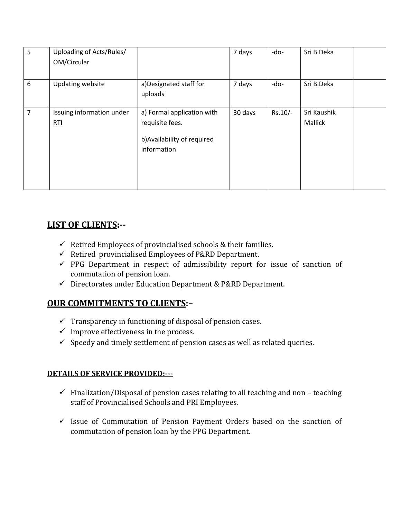| 5 | Uploading of Acts/Rules/<br>OM/Circular |                                                                                             | 7 days  | $-do-$    | Sri B.Deka                    |  |
|---|-----------------------------------------|---------------------------------------------------------------------------------------------|---------|-----------|-------------------------------|--|
| 6 | <b>Updating website</b>                 | a) Designated staff for<br>uploads                                                          | 7 days  | -do-      | Sri B.Deka                    |  |
| 7 | Issuing information under<br><b>RTI</b> | a) Formal application with<br>requisite fees.<br>b) Availability of required<br>information | 30 days | $Rs.10/-$ | Sri Kaushik<br><b>Mallick</b> |  |

## **LIST OF CLIENTS:--**

- $\checkmark$  Retired Employees of provincialised schools & their families.
- $\checkmark$  Retired provincialised Employees of P&RD Department.
- $\checkmark$  PPG Department in respect of admissibility report for issue of sanction of commutation of pension loan.
- $\checkmark$  Directorates under Education Department & P&RD Department.

## **OUR COMMITMENTS TO CLIENTS:–**

- $\checkmark$  Transparency in functioning of disposal of pension cases.
- $\checkmark$  Improve effectiveness in the process.
- $\checkmark$  Speedy and timely settlement of pension cases as well as related queries.

#### **DETAILS OF SERVICE PROVIDED:---**

- $\checkmark$  Finalization/Disposal of pension cases relating to all teaching and non teaching staff of Provincialised Schools and PRI Employees.
- $\checkmark$  Issue of Commutation of Pension Payment Orders based on the sanction of commutation of pension loan by the PPG Department.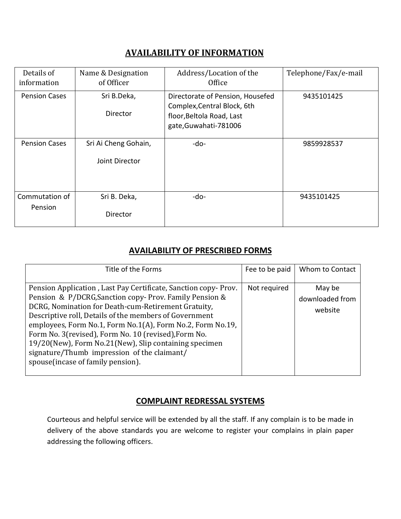### **AVAILABILITY OF INFORMATION**

| Details of<br>information | Name & Designation<br>of Officer       | Address/Location of the<br>Office                                                                                     | Telephone/Fax/e-mail |
|---------------------------|----------------------------------------|-----------------------------------------------------------------------------------------------------------------------|----------------------|
| <b>Pension Cases</b>      | Sri B.Deka,<br>Director                | Directorate of Pension, Housefed<br>Complex, Central Block, 6th<br>floor, Beltola Road, Last<br>gate, Guwahati-781006 | 9435101425           |
| <b>Pension Cases</b>      | Sri Ai Cheng Gohain,<br>Joint Director | $-do-$                                                                                                                | 9859928537           |
| Commutation of<br>Pension | Sri B. Deka,<br>Director               | $-do-$                                                                                                                | 9435101425           |

#### **AVAILABILITY OF PRESCRIBED FORMS**

| Title of the Forms                                                                                                                                                                                                                                                                                                                                                                                                                                                                                            | Fee to be paid | Whom to Contact                      |
|---------------------------------------------------------------------------------------------------------------------------------------------------------------------------------------------------------------------------------------------------------------------------------------------------------------------------------------------------------------------------------------------------------------------------------------------------------------------------------------------------------------|----------------|--------------------------------------|
| Pension Application, Last Pay Certificate, Sanction copy-Prov.<br>Pension & P/DCRG, Sanction copy-Prov. Family Pension &<br>DCRG, Nomination for Death-cum-Retirement Gratuity,<br>Descriptive roll, Details of the members of Government<br>employees, Form No.1, Form No.1(A), Form No.2, Form No.19,<br>Form No. 3(revised), Form No. 10 (revised), Form No.<br>19/20(New), Form No.21(New), Slip containing specimen<br>signature/Thumb impression of the claimant/<br>spouse (incase of family pension). | Not required   | May be<br>downloaded from<br>website |

## **COMPLAINT REDRESSAL SYSTEMS**

Courteous and helpful service will be extended by all the staff. If any complain is to be made in delivery of the above standards you are welcome to register your complains in plain paper addressing the following officers.